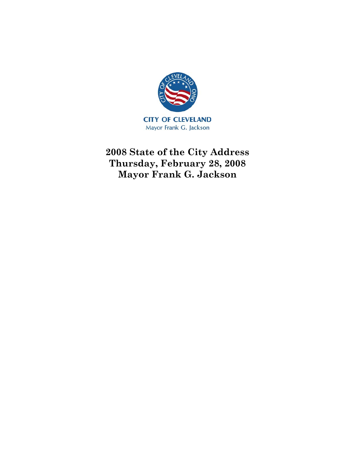

**2008 State of the City Address Thursday, February 28, 2008 Mayor Frank G. Jackson**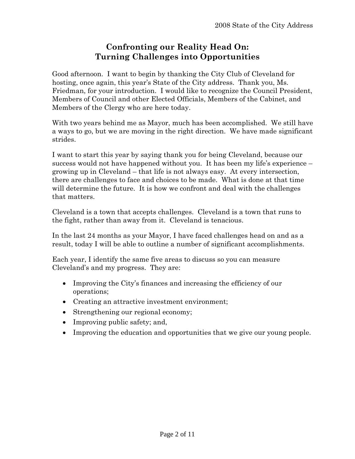# **Confronting our Reality Head On: Turning Challenges into Opportunities**

Good afternoon. I want to begin by thanking the City Club of Cleveland for hosting, once again, this year's State of the City address. Thank you, Ms. Friedman, for your introduction. I would like to recognize the Council President, Members of Council and other Elected Officials, Members of the Cabinet, and Members of the Clergy who are here today.

With two years behind me as Mayor, much has been accomplished. We still have a ways to go, but we are moving in the right direction. We have made significant strides.

I want to start this year by saying thank you for being Cleveland, because our success would not have happened without you. It has been my life's experience – growing up in Cleveland – that life is not always easy. At every intersection, there are challenges to face and choices to be made. What is done at that time will determine the future. It is how we confront and deal with the challenges that matters.

Cleveland is a town that accepts challenges. Cleveland is a town that runs to the fight, rather than away from it. Cleveland is tenacious.

In the last 24 months as your Mayor, I have faced challenges head on and as a result, today I will be able to outline a number of significant accomplishments.

Each year, I identify the same five areas to discuss so you can measure Cleveland's and my progress. They are:

- Improving the City's finances and increasing the efficiency of our operations;
- Creating an attractive investment environment;
- Strengthening our regional economy;
- Improving public safety; and,
- Improving the education and opportunities that we give our young people.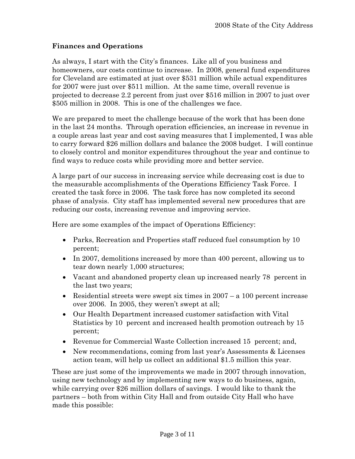# **Finances and Operations**

As always, I start with the City's finances. Like all of you business and homeowners, our costs continue to increase. In 2008, general fund expenditures for Cleveland are estimated at just over \$531 million while actual expenditures for 2007 were just over \$511 million. At the same time, overall revenue is projected to decrease 2.2 percent from just over \$516 million in 2007 to just over \$505 million in 2008. This is one of the challenges we face.

We are prepared to meet the challenge because of the work that has been done in the last 24 months. Through operation efficiencies, an increase in revenue in a couple areas last year and cost saving measures that I implemented, I was able to carry forward \$26 million dollars and balance the 2008 budget. I will continue to closely control and monitor expenditures throughout the year and continue to find ways to reduce costs while providing more and better service.

A large part of our success in increasing service while decreasing cost is due to the measurable accomplishments of the Operations Efficiency Task Force. I created the task force in 2006. The task force has now completed its second phase of analysis. City staff has implemented several new procedures that are reducing our costs, increasing revenue and improving service.

Here are some examples of the impact of Operations Efficiency:

- Parks, Recreation and Properties staff reduced fuel consumption by 10 percent;
- In 2007, demolitions increased by more than 400 percent, allowing us to tear down nearly 1,000 structures;
- Vacant and abandoned property clean up increased nearly 78 percent in the last two years;
- Residential streets were swept six times in 2007 a 100 percent increase over 2006. In 2005, they weren't swept at all;
- Our Health Department increased customer satisfaction with Vital Statistics by 10 percent and increased health promotion outreach by 15 percent;
- Revenue for Commercial Waste Collection increased 15 percent; and,
- New recommendations, coming from last year's Assessments & Licenses action team, will help us collect an additional \$1.5 million this year.

These are just some of the improvements we made in 2007 through innovation, using new technology and by implementing new ways to do business, again, while carrying over \$26 million dollars of savings. I would like to thank the partners – both from within City Hall and from outside City Hall who have made this possible: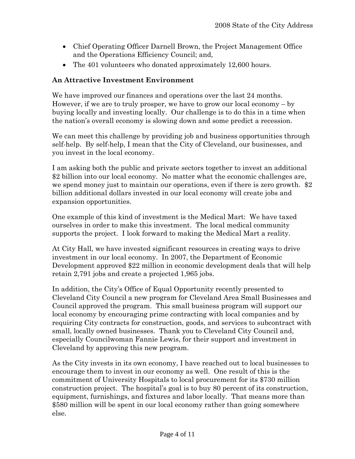- Chief Operating Officer Darnell Brown, the Project Management Office and the Operations Efficiency Council; and,
- The 401 volunteers who donated approximately 12,600 hours.

# **An Attractive Investment Environment**

We have improved our finances and operations over the last 24 months. However, if we are to truly prosper, we have to grow our local economy  $-$  by buying locally and investing locally. Our challenge is to do this in a time when the nation's overall economy is slowing down and some predict a recession.

We can meet this challenge by providing job and business opportunities through self-help. By self-help, I mean that the City of Cleveland, our businesses, and you invest in the local economy.

I am asking both the public and private sectors together to invest an additional \$2 billion into our local economy. No matter what the economic challenges are, we spend money just to maintain our operations, even if there is zero growth.  $$2$ billion additional dollars invested in our local economy will create jobs and expansion opportunities.

One example of this kind of investment is the Medical Mart: We have taxed ourselves in order to make this investment. The local medical community supports the project. I look forward to making the Medical Mart a reality.

At City Hall, we have invested significant resources in creating ways to drive investment in our local economy. In 2007, the Department of Economic Development approved \$22 million in economic development deals that will help retain 2,791 jobs and create a projected 1,965 jobs.

In addition, the City's Office of Equal Opportunity recently presented to Cleveland City Council a new program for Cleveland Area Small Businesses and Council approved the program. This small business program will support our local economy by encouraging prime contracting with local companies and by requiring City contracts for construction, goods, and services to subcontract with small, locally owned businesses. Thank you to Cleveland City Council and, especially Councilwoman Fannie Lewis, for their support and investment in Cleveland by approving this new program.

As the City invests in its own economy, I have reached out to local businesses to encourage them to invest in our economy as well. One result of this is the commitment of University Hospitals to local procurement for its \$730 million construction project. The hospital's goal is to buy 80 percent of its construction, equipment, furnishings, and fixtures and labor locally. That means more than \$580 million will be spent in our local economy rather than going somewhere else.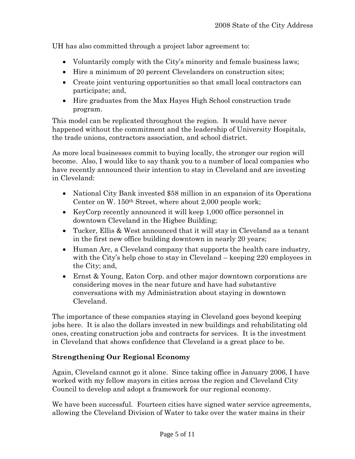UH has also committed through a project labor agreement to:

- Voluntarily comply with the City's minority and female business laws;
- Hire a minimum of 20 percent Clevelanders on construction sites;
- Create joint venturing opportunities so that small local contractors can participate; and,
- Hire graduates from the Max Hayes High School construction trade program.

This model can be replicated throughout the region. It would have never happened without the commitment and the leadership of University Hospitals, the trade unions, contractors association, and school district.

As more local businesses commit to buying locally, the stronger our region will become. Also, I would like to say thank you to a number of local companies who have recently announced their intention to stay in Cleveland and are investing in Cleveland:

- National City Bank invested \$58 million in an expansion of its Operations Center on W. 150th Street, where about 2,000 people work;
- KeyCorp recently announced it will keep 1,000 office personnel in downtown Cleveland in the Higbee Building;
- Tucker, Ellis & West announced that it will stay in Cleveland as a tenant in the first new office building downtown in nearly 20 years;
- Human Arc, a Cleveland company that supports the health care industry, with the City's help chose to stay in Cleveland – keeping 220 employees in the City; and,
- Ernst & Young, Eaton Corp. and other major downtown corporations are considering moves in the near future and have had substantive conversations with my Administration about staying in downtown Cleveland.

The importance of these companies staying in Cleveland goes beyond keeping jobs here. It is also the dollars invested in new buildings and rehabilitating old ones, creating construction jobs and contracts for services. It is the investment in Cleveland that shows confidence that Cleveland is a great place to be.

### **Strengthening Our Regional Economy**

Again, Cleveland cannot go it alone. Since taking office in January 2006, I have worked with my fellow mayors in cities across the region and Cleveland City Council to develop and adopt a framework for our regional economy.

We have been successful. Fourteen cities have signed water service agreements, allowing the Cleveland Division of Water to take over the water mains in their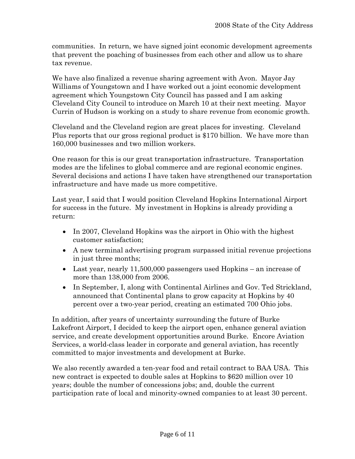communities. In return, we have signed joint economic development agreements that prevent the poaching of businesses from each other and allow us to share tax revenue.

We have also finalized a revenue sharing agreement with Avon. Mayor Jay Williams of Youngstown and I have worked out a joint economic development agreement which Youngstown City Council has passed and I am asking Cleveland City Council to introduce on March 10 at their next meeting. Mayor Currin of Hudson is working on a study to share revenue from economic growth.

Cleveland and the Cleveland region are great places for investing. Cleveland Plus reports that our gross regional product is \$170 billion. We have more than 160,000 businesses and two million workers.

One reason for this is our great transportation infrastructure. Transportation modes are the lifelines to global commerce and are regional economic engines. Several decisions and actions I have taken have strengthened our transportation infrastructure and have made us more competitive.

Last year, I said that I would position Cleveland Hopkins International Airport for success in the future. My investment in Hopkins is already providing a return:

- In 2007, Cleveland Hopkins was the airport in Ohio with the highest customer satisfaction;
- A new terminal advertising program surpassed initial revenue projections in just three months;
- Last year, nearly 11,500,000 passengers used Hopkins an increase of more than 138,000 from 2006.
- In September, I, along with Continental Airlines and Gov. Ted Strickland, announced that Continental plans to grow capacity at Hopkins by 40 percent over a two-year period, creating an estimated 700 Ohio jobs.

In addition, after years of uncertainty surrounding the future of Burke Lakefront Airport, I decided to keep the airport open, enhance general aviation service, and create development opportunities around Burke. Encore Aviation Services, a world-class leader in corporate and general aviation, has recently committed to major investments and development at Burke.

We also recently awarded a ten-year food and retail contract to BAA USA. This new contract is expected to double sales at Hopkins to \$620 million over 10 years; double the number of concessions jobs; and, double the current participation rate of local and minority-owned companies to at least 30 percent.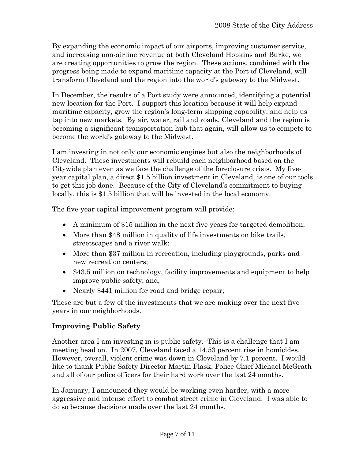By expanding the economic impact of our airports, improving customer service, and increasing non-airline revenue at both Cleveland Hopkins and Burke, we are creating opportunities to grow the region. These actions, combined with the progress being made to expand maritime capacity at the Port of Cleveland, will transform Cleveland and the region into the world's gateway to the Midwest.

In December, the results of a Port study were announced, identifying a potential new location for the Port. I support this location because it will help expand maritime capacity, grow the region's long-term shipping capability, and help us tap into new markets. By air, water, rail and roads, Cleveland and the region is becoming a significant transportation hub that again, will allow us to compete to become the world's gateway to the Midwest.

I am investing in not only our economic engines but also the neighborhoods of Cleveland. These investments will rebuild each neighborhood based on the Citywide plan even as we face the challenge of the foreclosure crisis. My fiveyear capital plan, a direct \$1.5 billion investment in Cleveland, is one of our tools to get this job done. Because of the City of Cleveland's commitment to buying locally, this is \$1.5 billion that will be invested in the local economy.

The five-year capital improvement program will provide:

- A minimum of \$15 million in the next five years for targeted demolition;
- More than \$48 million in quality of life investments on bike trails, streetscapes and a river walk;
- More than \$37 million in recreation, including playgrounds, parks and new recreation centers;
- \$43.5 million on technology, facility improvements and equipment to help improve public safety; and,
- Nearly \$441 million for road and bridge repair;

These are but a few of the investments that we are making over the next five years in our neighborhoods.

### **Improving Public Safety**

Another area I am investing in is public safety. This is a challenge that I am meeting head on. In 2007, Cleveland faced a 14.53 percent rise in homicides. However, overall, violent crime was down in Cleveland by 7.1 percent. I would like to thank Public Safety Director Martin Flask, Police Chief Michael McGrath and all of our police officers for their hard work over the last 24 months.

In January, I announced they would be working even harder, with a more aggressive and intense effort to combat street crime in Cleveland. I was able to do so because decisions made over the last 24 months.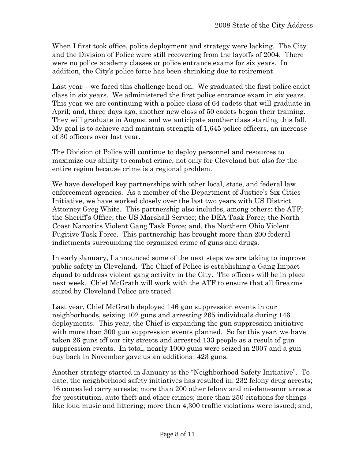When I first took office, police deployment and strategy were lacking. The City and the Division of Police were still recovering from the layoffs of 2004. There were no police academy classes or police entrance exams for six years. In addition, the City's police force has been shrinking due to retirement.

Last year – we faced this challenge head on. We graduated the first police cadet class in six years. We administered the first police entrance exam in six years. This year we are continuing with a police class of 64 cadets that will graduate in April; and, three days ago, another new class of 50 cadets began their training. They will graduate in August and we anticipate another class starting this fall. My goal is to achieve and maintain strength of 1,645 police officers, an increase of 30 officers over last year.

The Division of Police will continue to deploy personnel and resources to maximize our ability to combat crime, not only for Cleveland but also for the entire region because crime is a regional problem.

We have developed key partnerships with other local, state, and federal law enforcement agencies. As a member of the Department of Justice's Six Cities Initiative, we have worked closely over the last two years with US District Attorney Greg White. This partnership also includes, among others: the ATF; the Sheriff's Office; the US Marshall Service; the DEA Task Force; the North Coast Narcotics Violent Gang Task Force; and, the Northern Ohio Violent Fugitive Task Force. This partnership has brought more than 200 federal indictments surrounding the organized crime of guns and drugs.

In early January, I announced some of the next steps we are taking to improve public safety in Cleveland. The Chief of Police is establishing a Gang Impact Squad to address violent gang activity in the City. The officers will be in place next week. Chief McGrath will work with the ATF to ensure that all firearms seized by Cleveland Police are traced.

Last year, Chief McGrath deployed 146 gun suppression events in our neighborhoods, seizing 102 guns and arresting 265 individuals during 146 deployments. This year, the Chief is expanding the gun suppression initiative – with more than 300 gun suppression events planned. So far this year, we have taken 26 guns off our city streets and arrested 133 people as a result of gun suppression events. In total, nearly 1000 guns were seized in 2007 and a gun buy back in November gave us an additional 423 guns.

Another strategy started in January is the "Neighborhood Safety Initiative". To date, the neighborhood safety initiatives has resulted in: 232 felony drug arrests; 16 concealed carry arrests; more than 200 other felony and misdemeanor arrests for prostitution, auto theft and other crimes; more than 250 citations for things like loud music and littering; more than 4,300 traffic violations were issued; and,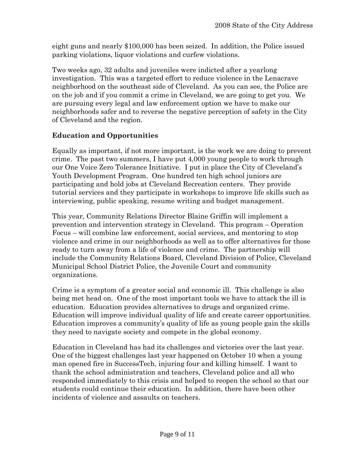eight guns and nearly \$100,000 has been seized. In addition, the Police issued parking violations, liquor violations and curfew violations.

Two weeks ago, 32 adults and juveniles were indicted after a yearlong investigation. This was a targeted effort to reduce violence in the Lenacrave neighborhood on the southeast side of Cleveland. As you can see, the Police are on the job and if you commit a crime in Cleveland, we are going to get you. We are pursuing every legal and law enforcement option we have to make our neighborhoods safer and to reverse the negative perception of safety in the City of Cleveland and the region.

#### **Education and Opportunities**

Equally as important, if not more important, is the work we are doing to prevent crime. The past two summers, I have put 4,000 young people to work through our One Voice Zero Tolerance Initiative. I put in place the City of Cleveland's Youth Development Program. One hundred ten high school juniors are participating and hold jobs at Cleveland Recreation centers. They provide tutorial services and they participate in workshops to improve life skills such as interviewing, public speaking, resume writing and budget management.

This year, Community Relations Director Blaine Griffin will implement a prevention and intervention strategy in Cleveland. This program – Operation Focus – will combine law enforcement, social services, and mentoring to stop violence and crime in our neighborhoods as well as to offer alternatives for those ready to turn away from a life of violence and crime. The partnership will include the Community Relations Board, Cleveland Division of Police, Cleveland Municipal School District Police, the Juvenile Court and community organizations.

Crime is a symptom of a greater social and economic ill. This challenge is also being met head on. One of the most important tools we have to attack the ill is education. Education provides alternatives to drugs and organized crime. Education will improve individual quality of life and create career opportunities. Education improves a community's quality of life as young people gain the skills they need to navigate society and compete in the global economy.

Education in Cleveland has had its challenges and victories over the last year. One of the biggest challenges last year happened on October 10 when a young man opened fire in SuccessTech, injuring four and killing himself. I want to thank the school administration and teachers, Cleveland police and all who responded immediately to this crisis and helped to reopen the school so that our students could continue their education. In addition, there have been other incidents of violence and assaults on teachers.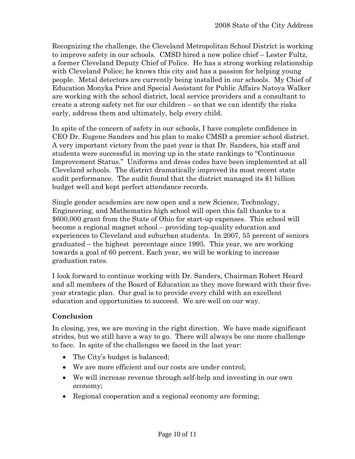Recognizing the challenge, the Cleveland Metropolitan School District is working to improve safety in our schools. CMSD hired a new police chief – Lester Fultz, a former Cleveland Deputy Chief of Police. He has a strong working relationship with Cleveland Police; he knows this city and has a passion for helping young people. Metal detectors are currently being installed in our schools. My Chief of Education Monyka Price and Special Assistant for Public Affairs Natoya Walker are working with the school district, local service providers and a consultant to create a strong safety net for our children – so that we can identify the risks early, address them and ultimately, help every child.

In spite of the concern of safety in our schools, I have complete confidence in CEO Dr. Eugene Sanders and his plan to make CMSD a premier school district. A very important victory from the past year is that Dr. Sanders, his staff and students were successful in moving up in the state rankings to "Continuous Improvement Status." Uniforms and dress codes have been implemented at all Cleveland schools. The district dramatically improved its most recent state audit performance. The audit found that the district managed its \$1 billion budget well and kept perfect attendance records.

Single gender academies are now open and a new Science, Technology, Engineering, and Mathematics high school will open this fall thanks to a \$600,000 grant from the State of Ohio for start-up expenses. This school will become a regional magnet school – providing top-quality education and experiences to Cleveland and suburban students. In 2007, 55 percent of seniors graduated – the highest percentage since 1995. This year, we are working towards a goal of 60 percent. Each year, we will be working to increase graduation rates.

I look forward to continue working with Dr. Sanders, Chairman Robert Heard and all members of the Board of Education as they move forward with their fiveyear strategic plan. Our goal is to provide every child with an excellent education and opportunities to succeed. We are well on our way.

### **Conclusion**

In closing, yes, we are moving in the right direction. We have made significant strides, but we still have a way to go. There will always be one more challenge to face. In spite of the challenges we faced in the last year:

- The City's budget is balanced;
- We are more efficient and our costs are under control;
- We will increase revenue through self-help and investing in our own economy;
- Regional cooperation and a regional economy are forming;